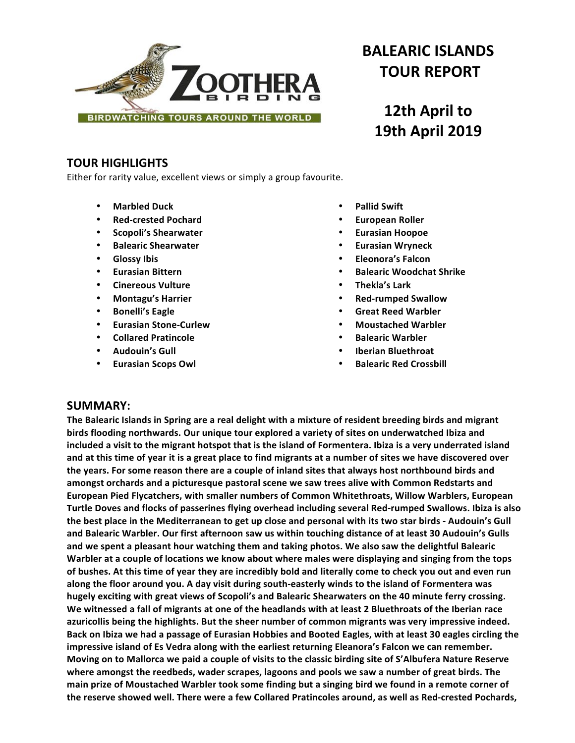

# **BALEARIC ISLANDS TOUR REPORT**

# **12th April to 19th April 2019**

# **TOUR HIGHLIGHTS**

Either for rarity value, excellent views or simply a group favourite.

- **Marbled Duck**
- **Red-crested Pochard**
- **Scopoli's Shearwater**
- **Balearic Shearwater**
- **Glossy Ibis**
- **Eurasian Bittern**
- **Cinereous Vulture**
- **Montagu's Harrier**
- **Bonelli's Eagle**
- **Eurasian Stone-Curlew**
- **Collared Pratincole**
- **Audouin's Gull**
- **Eurasian Scops Owl**
- **Pallid Swift**
- **European Roller**
- **Eurasian Hoopoe**
- **Eurasian Wryneck**
- **Eleonora's Falcon**
- **Balearic Woodchat Shrike**
- **Thekla's Lark**
- **Red-rumped Swallow**
- **Great Reed Warbler**
- **Moustached Warbler**
- **Balearic Warbler**
- **Iberian Bluethroat**
- **Balearic Red Crossbill**

# **SUMMARY:**

**The Balearic Islands in Spring are a real delight with a mixture of resident breeding birds and migrant** birds flooding northwards. Our unique tour explored a variety of sites on underwatched Ibiza and included a visit to the migrant hotspot that is the island of Formentera. Ibiza is a very underrated island and at this time of year it is a great place to find migrants at a number of sites we have discovered over the years. For some reason there are a couple of inland sites that always host northbound birds and amongst orchards and a picturesque pastoral scene we saw trees alive with Common Redstarts and European Pied Flycatchers, with smaller numbers of Common Whitethroats, Willow Warblers, European Turtle Doves and flocks of passerines flying overhead including several Red-rumped Swallows. Ibiza is also the best place in the Mediterranean to get up close and personal with its two star birds - Audouin's Gull and Balearic Warbler. Our first afternoon saw us within touching distance of at least 30 Audouin's Gulls and we spent a pleasant hour watching them and taking photos. We also saw the delightful Balearic Warbler at a couple of locations we know about where males were displaying and singing from the tops of bushes. At this time of year they are incredibly bold and literally come to check you out and even run along the floor around you. A day visit during south-easterly winds to the island of Formentera was hugely exciting with great views of Scopoli's and Balearic Shearwaters on the 40 minute ferry crossing. We witnessed a fall of migrants at one of the headlands with at least 2 Bluethroats of the Iberian race azuricollis being the highlights. But the sheer number of common migrants was very impressive indeed. Back on Ibiza we had a passage of Eurasian Hobbies and Booted Eagles, with at least 30 eagles circling the impressive island of Es Vedra along with the earliest returning Eleanora's Falcon we can remember. Moving on to Mallorca we paid a couple of visits to the classic birding site of S'Albufera Nature Reserve where amongst the reedbeds, wader scrapes, lagoons and pools we saw a number of great birds. The main prize of Moustached Warbler took some finding but a singing bird we found in a remote corner of the reserve showed well. There were a few Collared Pratincoles around, as well as Red-crested Pochards,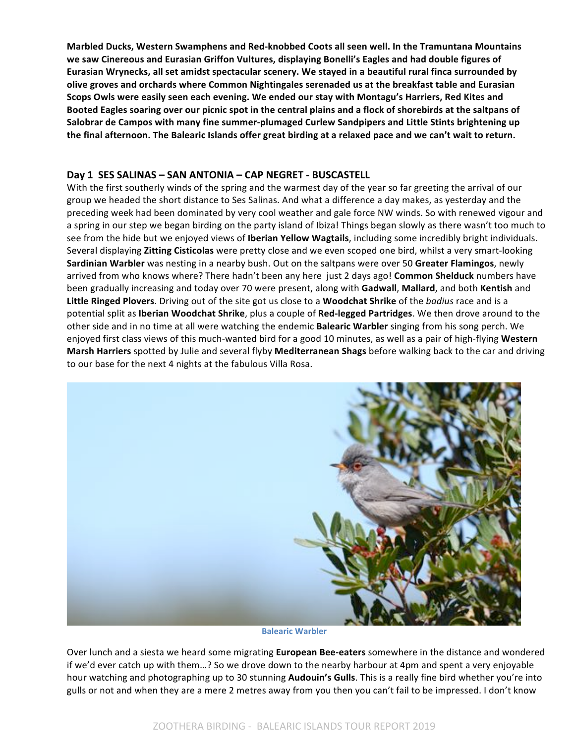Marbled Ducks, Western Swamphens and Red-knobbed Coots all seen well. In the Tramuntana Mountains we saw Cinereous and Eurasian Griffon Vultures, displaying Bonelli's Eagles and had double figures of Eurasian Wrynecks, all set amidst spectacular scenery. We stayed in a beautiful rural finca surrounded by olive groves and orchards where Common Nightingales serenaded us at the breakfast table and Eurasian Scops Owls were easily seen each evening. We ended our stay with Montagu's Harriers, Red Kites and Booted Eagles soaring over our picnic spot in the central plains and a flock of shorebirds at the saltpans of Salobrar de Campos with many fine summer-plumaged Curlew Sandpipers and Little Stints brightening up the final afternoon. The Balearic Islands offer great birding at a relaxed pace and we can't wait to return.

# **Day 1 SES SALINAS - SAN ANTONIA - CAP NEGRET - BUSCASTELL**

With the first southerly winds of the spring and the warmest day of the year so far greeting the arrival of our group we headed the short distance to Ses Salinas. And what a difference a day makes, as yesterday and the preceding week had been dominated by very cool weather and gale force NW winds. So with renewed vigour and a spring in our step we began birding on the party island of Ibiza! Things began slowly as there wasn't too much to see from the hide but we enjoyed views of **Iberian Yellow Wagtails**, including some incredibly bright individuals. Several displaying Zitting Cisticolas were pretty close and we even scoped one bird, whilst a very smart-looking **Sardinian Warbler** was nesting in a nearby bush. Out on the saltpans were over 50 Greater Flamingos, newly arrived from who knows where? There hadn't been any here just 2 days ago! **Common Shelduck** numbers have been gradually increasing and today over 70 were present, along with Gadwall, Mallard, and both Kentish and Little Ringed Plovers. Driving out of the site got us close to a Woodchat Shrike of the *badius* race and is a potential split as **Iberian Woodchat Shrike**, plus a couple of Red-legged Partridges. We then drove around to the other side and in no time at all were watching the endemic **Balearic Warbler** singing from his song perch. We enjoyed first class views of this much-wanted bird for a good 10 minutes, as well as a pair of high-flying Western **Marsh Harriers** spotted by Julie and several flyby **Mediterranean Shags** before walking back to the car and driving to our base for the next 4 nights at the fabulous Villa Rosa.



**Balearic Warbler**

Over lunch and a siesta we heard some migrating **European Bee-eaters** somewhere in the distance and wondered if we'd ever catch up with them...? So we drove down to the nearby harbour at 4pm and spent a very enjoyable hour watching and photographing up to 30 stunning **Audouin's Gulls**. This is a really fine bird whether you're into gulls or not and when they are a mere 2 metres away from you then you can't fail to be impressed. I don't know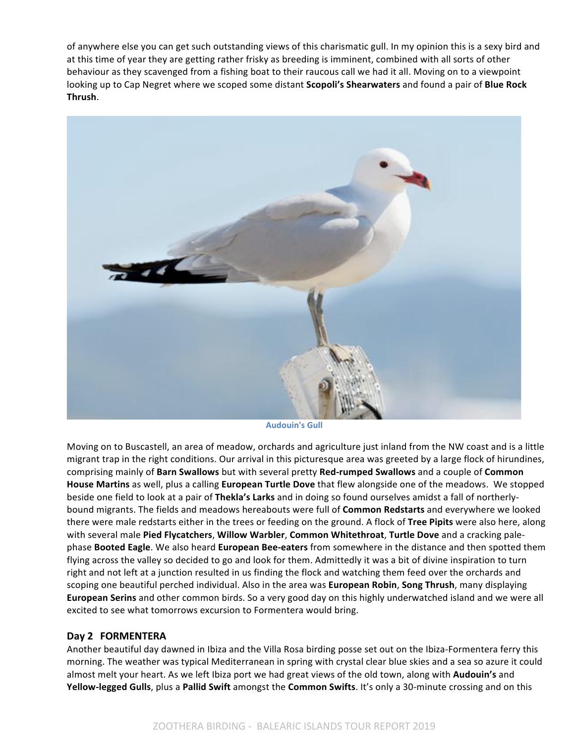of anywhere else you can get such outstanding views of this charismatic gull. In my opinion this is a sexy bird and at this time of year they are getting rather frisky as breeding is imminent, combined with all sorts of other behaviour as they scavenged from a fishing boat to their raucous call we had it all. Moving on to a viewpoint looking up to Cap Negret where we scoped some distant **Scopoli's Shearwaters** and found a pair of **Blue Rock Thrush**. 



**Audouin's Gull**

Moving on to Buscastell, an area of meadow, orchards and agriculture just inland from the NW coast and is a little migrant trap in the right conditions. Our arrival in this picturesque area was greeted by a large flock of hirundines, comprising mainly of Barn Swallows but with several pretty Red-rumped Swallows and a couple of Common **House Martins** as well, plus a calling **European Turtle Dove** that flew alongside one of the meadows. We stopped beside one field to look at a pair of Thekla's Larks and in doing so found ourselves amidst a fall of northerlybound migrants. The fields and meadows hereabouts were full of **Common Redstarts** and everywhere we looked there were male redstarts either in the trees or feeding on the ground. A flock of Tree Pipits were also here, along with several male Pied Flycatchers, Willow Warbler, Common Whitethroat, Turtle Dove and a cracking palephase **Booted Eagle**. We also heard **European Bee-eaters** from somewhere in the distance and then spotted them flying across the valley so decided to go and look for them. Admittedly it was a bit of divine inspiration to turn right and not left at a junction resulted in us finding the flock and watching them feed over the orchards and scoping one beautiful perched individual. Also in the area was **European Robin, Song Thrush**, many displaying **European Serins** and other common birds. So a very good day on this highly underwatched island and we were all excited to see what tomorrows excursion to Formentera would bring.

# Day 2 **FORMENTERA**

Another beautiful day dawned in Ibiza and the Villa Rosa birding posse set out on the Ibiza-Formentera ferry this morning. The weather was typical Mediterranean in spring with crystal clear blue skies and a sea so azure it could almost melt your heart. As we left Ibiza port we had great views of the old town, along with **Audouin's** and **Yellow-legged Gulls**, plus a Pallid Swift amongst the **Common Swifts**. It's only a 30-minute crossing and on this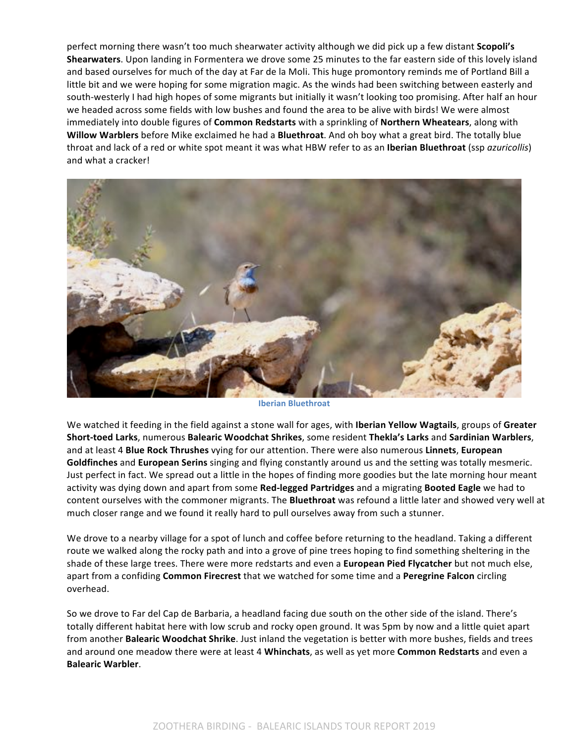perfect morning there wasn't too much shearwater activity although we did pick up a few distant **Scopoli's Shearwaters**. Upon landing in Formentera we drove some 25 minutes to the far eastern side of this lovely island and based ourselves for much of the day at Far de la Moli. This huge promontory reminds me of Portland Bill a little bit and we were hoping for some migration magic. As the winds had been switching between easterly and south-westerly I had high hopes of some migrants but initially it wasn't looking too promising. After half an hour we headed across some fields with low bushes and found the area to be alive with birds! We were almost immediately into double figures of *Common Redstarts* with a sprinkling of Northern Wheatears, along with **Willow Warblers** before Mike exclaimed he had a **Bluethroat**. And oh boy what a great bird. The totally blue throat and lack of a red or white spot meant it was what HBW refer to as an **Iberian Bluethroat** (ssp *azuricollis*) and what a cracker!



**Iberian Bluethroat**

We watched it feeding in the field against a stone wall for ages, with **Iberian Yellow Wagtails**, groups of Greater **Short-toed Larks**, numerous **Balearic Woodchat Shrikes**, some resident **Thekla's Larks** and **Sardinian Warblers**, and at least 4 **Blue Rock Thrushes** vying for our attention. There were also numerous Linnets, European **Goldfinches** and European Serins singing and flying constantly around us and the setting was totally mesmeric. Just perfect in fact. We spread out a little in the hopes of finding more goodies but the late morning hour meant activity was dying down and apart from some Red-legged Partridges and a migrating Booted Eagle we had to content ourselves with the commoner migrants. The **Bluethroat** was refound a little later and showed very well at much closer range and we found it really hard to pull ourselves away from such a stunner.

We drove to a nearby village for a spot of lunch and coffee before returning to the headland. Taking a different route we walked along the rocky path and into a grove of pine trees hoping to find something sheltering in the shade of these large trees. There were more redstarts and even a European Pied Flycatcher but not much else, apart from a confiding **Common Firecrest** that we watched for some time and a Peregrine Falcon circling overhead. 

So we drove to Far del Cap de Barbaria, a headland facing due south on the other side of the island. There's totally different habitat here with low scrub and rocky open ground. It was 5pm by now and a little quiet apart from another Balearic Woodchat Shrike. Just inland the vegetation is better with more bushes, fields and trees and around one meadow there were at least 4 Whinchats, as well as yet more Common Redstarts and even a **Balearic Warbler**.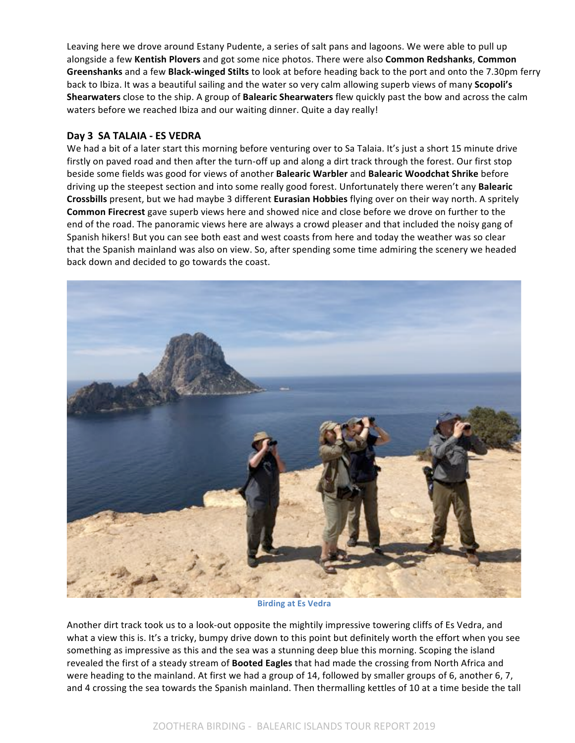Leaving here we drove around Estany Pudente, a series of salt pans and lagoons. We were able to pull up alongside a few Kentish Plovers and got some nice photos. There were also Common Redshanks, Common **Greenshanks** and a few **Black-winged Stilts** to look at before heading back to the port and onto the 7.30pm ferry back to Ibiza. It was a beautiful sailing and the water so very calm allowing superb views of many **Scopoli's Shearwaters** close to the ship. A group of **Balearic Shearwaters** flew quickly past the bow and across the calm waters before we reached Ibiza and our waiting dinner. Quite a day really!

# **Day 3 SA TALAIA - ES VEDRA**

We had a bit of a later start this morning before venturing over to Sa Talaia. It's just a short 15 minute drive firstly on paved road and then after the turn-off up and along a dirt track through the forest. Our first stop beside some fields was good for views of another **Balearic Warbler** and **Balearic Woodchat Shrike** before driving up the steepest section and into some really good forest. Unfortunately there weren't any **Balearic Crossbills** present, but we had maybe 3 different **Eurasian Hobbies** flying over on their way north. A spritely **Common Firecrest** gave superb views here and showed nice and close before we drove on further to the end of the road. The panoramic views here are always a crowd pleaser and that included the noisy gang of Spanish hikers! But you can see both east and west coasts from here and today the weather was so clear that the Spanish mainland was also on view. So, after spending some time admiring the scenery we headed back down and decided to go towards the coast.



**Birding at Es Vedra** 

Another dirt track took us to a look-out opposite the mightily impressive towering cliffs of Es Vedra, and what a view this is. It's a tricky, bumpy drive down to this point but definitely worth the effort when you see something as impressive as this and the sea was a stunning deep blue this morning. Scoping the island revealed the first of a steady stream of **Booted Eagles** that had made the crossing from North Africa and were heading to the mainland. At first we had a group of 14, followed by smaller groups of 6, another 6, 7, and 4 crossing the sea towards the Spanish mainland. Then thermalling kettles of 10 at a time beside the tall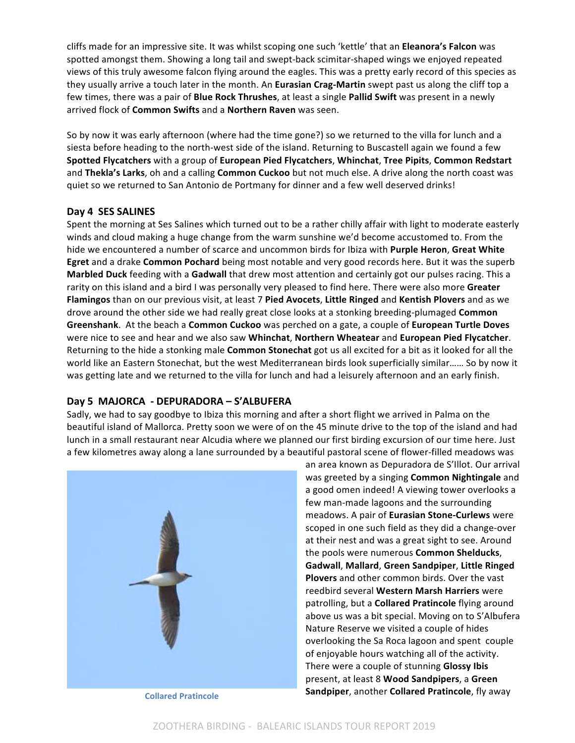cliffs made for an impressive site. It was whilst scoping one such 'kettle' that an Eleanora's Falcon was spotted amongst them. Showing a long tail and swept-back scimitar-shaped wings we enjoyed repeated views of this truly awesome falcon flying around the eagles. This was a pretty early record of this species as they usually arrive a touch later in the month. An **Eurasian Crag-Martin** swept past us along the cliff top a few times, there was a pair of **Blue Rock Thrushes**, at least a single Pallid Swift was present in a newly arrived flock of **Common Swifts** and a **Northern Raven** was seen.

So by now it was early afternoon (where had the time gone?) so we returned to the villa for lunch and a siesta before heading to the north-west side of the island. Returning to Buscastell again we found a few **Spotted Flycatchers** with a group of **European Pied Flycatchers**, **Whinchat**, **Tree Pipits**, **Common Redstart** and **Thekla's Larks**, oh and a calling **Common Cuckoo** but not much else. A drive along the north coast was quiet so we returned to San Antonio de Portmany for dinner and a few well deserved drinks!

# Day 4 SES SALINES

Spent the morning at Ses Salines which turned out to be a rather chilly affair with light to moderate easterly winds and cloud making a huge change from the warm sunshine we'd become accustomed to. From the hide we encountered a number of scarce and uncommon birds for Ibiza with **Purple Heron, Great White Egret** and a drake **Common Pochard** being most notable and very good records here. But it was the superb **Marbled Duck** feeding with a **Gadwall** that drew most attention and certainly got our pulses racing. This a rarity on this island and a bird I was personally very pleased to find here. There were also more Greater Flamingos than on our previous visit, at least 7 Pied Avocets, Little Ringed and Kentish Plovers and as we drove around the other side we had really great close looks at a stonking breeding-plumaged **Common** Greenshank. At the beach a Common Cuckoo was perched on a gate, a couple of European Turtle Doves were nice to see and hear and we also saw Whinchat, Northern Wheatear and European Pied Flycatcher. Returning to the hide a stonking male **Common Stonechat** got us all excited for a bit as it looked for all the world like an Eastern Stonechat, but the west Mediterranean birds look superficially similar…… So by now it was getting late and we returned to the villa for lunch and had a leisurely afternoon and an early finish.

# **Day 5 MAJORCA - DEPURADORA – S'ALBUFERA**

Sadly, we had to say goodbye to Ibiza this morning and after a short flight we arrived in Palma on the beautiful island of Mallorca. Pretty soon we were of on the 45 minute drive to the top of the island and had lunch in a small restaurant near Alcudia where we planned our first birding excursion of our time here. Just a few kilometres away along a lane surrounded by a beautiful pastoral scene of flower-filled meadows was



an area known as Depuradora de S'Illot. Our arrival was greeted by a singing **Common Nightingale** and a good omen indeed! A viewing tower overlooks a few man-made lagoons and the surrounding meadows. A pair of **Eurasian Stone-Curlews** were scoped in one such field as they did a change-over at their nest and was a great sight to see. Around the pools were numerous **Common Shelducks**, **Gadwall**, **Mallard**, **Green Sandpiper**, **Little Ringed Plovers** and other common birds. Over the vast reedbird several **Western Marsh Harriers** were patrolling, but a **Collared Pratincole** flying around above us was a bit special. Moving on to S'Albufera Nature Reserve we visited a couple of hides overlooking the Sa Roca lagoon and spent couple of enjoyable hours watching all of the activity. There were a couple of stunning **Glossy Ibis** present, at least 8 **Wood Sandpipers**, a Green **Sandpiper**, another **Collared Pratincole**, fly away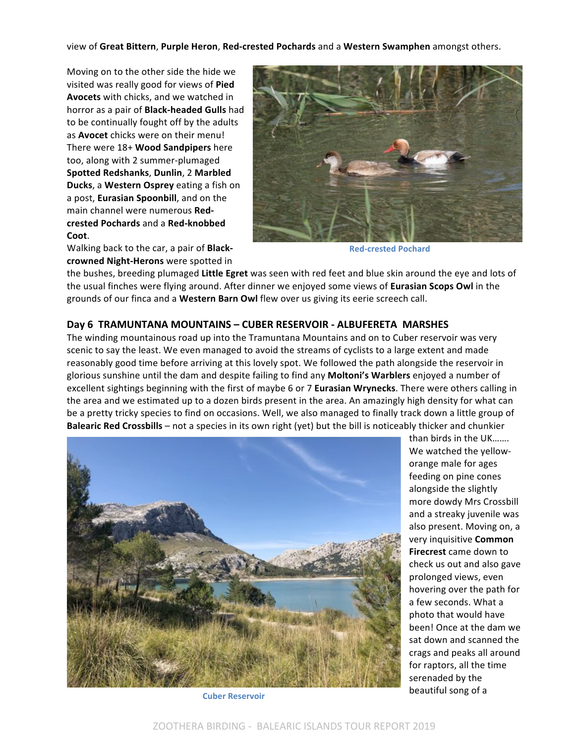view of **Great Bittern**, **Purple Heron**, **Red-crested Pochards** and a **Western Swamphen** amongst others.

Moving on to the other side the hide we visited was really good for views of Pied **Avocets** with chicks, and we watched in horror as a pair of **Black-headed Gulls** had to be continually fought off by the adults as **Avocet** chicks were on their menu! There were 18+ **Wood Sandpipers** here too, along with 2 summer-plumaged **Spotted Redshanks**, **Dunlin**, 2 **Marbled Ducks**, a Western Osprey eating a fish on a post, **Eurasian Spoonbill**, and on the main channel were numerous Red**crested Pochards** and a **Red-knobbed Coot**.

Walking back to the car, a pair of **Black**crowned Night-Herons were spotted in



**Red-crested Pochard**

the bushes, breeding plumaged Little Egret was seen with red feet and blue skin around the eye and lots of the usual finches were flying around. After dinner we enjoyed some views of Eurasian Scops Owl in the grounds of our finca and a Western Barn Owl flew over us giving its eerie screech call.

# **Day 6 TRAMUNTANA MOUNTAINS – CUBER RESERVOIR - ALBUFERETA MARSHES**

The winding mountainous road up into the Tramuntana Mountains and on to Cuber reservoir was very scenic to say the least. We even managed to avoid the streams of cyclists to a large extent and made reasonably good time before arriving at this lovely spot. We followed the path alongside the reservoir in glorious sunshine until the dam and despite failing to find any **Moltoni's Warblers** enjoyed a number of excellent sightings beginning with the first of maybe 6 or 7 **Eurasian Wrynecks**. There were others calling in the area and we estimated up to a dozen birds present in the area. An amazingly high density for what can be a pretty tricky species to find on occasions. Well, we also managed to finally track down a little group of **Balearic Red Crossbills** – not a species in its own right (yet) but the bill is noticeably thicker and chunkier



**Cuber Reservoir**

than birds in the UK……. We watched the yelloworange male for ages feeding on pine cones alongside the slightly more dowdy Mrs Crossbill and a streaky juvenile was also present. Moving on, a very inquisitive **Common Firecrest** came down to check us out and also gave prolonged views, even hovering over the path for a few seconds. What a photo that would have been! Once at the dam we sat down and scanned the crags and peaks all around for raptors, all the time serenaded by the beautiful song of a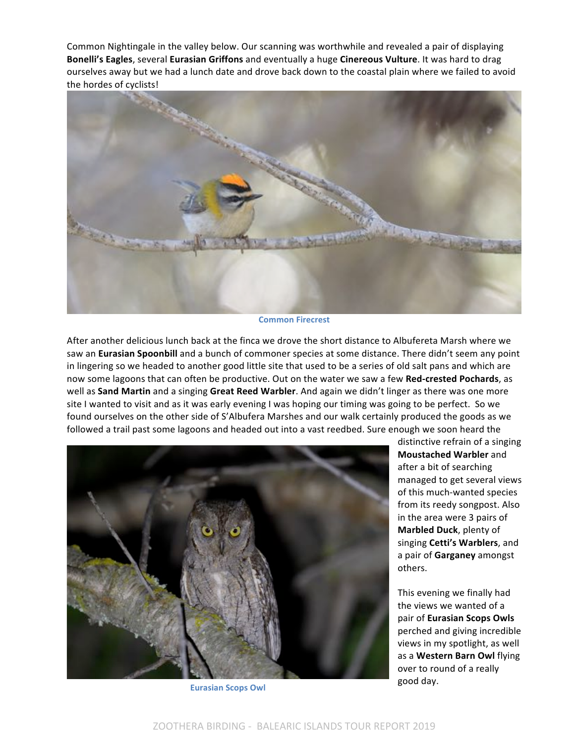Common Nightingale in the valley below. Our scanning was worthwhile and revealed a pair of displaying **Bonelli's Eagles**, several **Eurasian Griffons** and eventually a huge **Cinereous Vulture**. It was hard to drag ourselves away but we had a lunch date and drove back down to the coastal plain where we failed to avoid the hordes of cyclists!



**Common Firecrest**

After another delicious lunch back at the finca we drove the short distance to Albufereta Marsh where we saw an **Eurasian Spoonbill** and a bunch of commoner species at some distance. There didn't seem any point in lingering so we headed to another good little site that used to be a series of old salt pans and which are now some lagoons that can often be productive. Out on the water we saw a few Red-crested Pochards, as well as **Sand Martin** and a singing Great Reed Warbler. And again we didn't linger as there was one more site I wanted to visit and as it was early evening I was hoping our timing was going to be perfect. So we found ourselves on the other side of S'Albufera Marshes and our walk certainly produced the goods as we followed a trail past some lagoons and headed out into a vast reedbed. Sure enough we soon heard the



distinctive refrain of a singing **Moustached Warbler** and after a bit of searching managed to get several views of this much-wanted species from its reedy songpost. Also in the area were 3 pairs of **Marbled Duck**, plenty of singing Cetti's Warblers, and a pair of Garganey amongst others.

This evening we finally had the views we wanted of a pair of **Eurasian Scops Owls** perched and giving incredible views in my spotlight, as well as a Western Barn Owl flying over to round of a really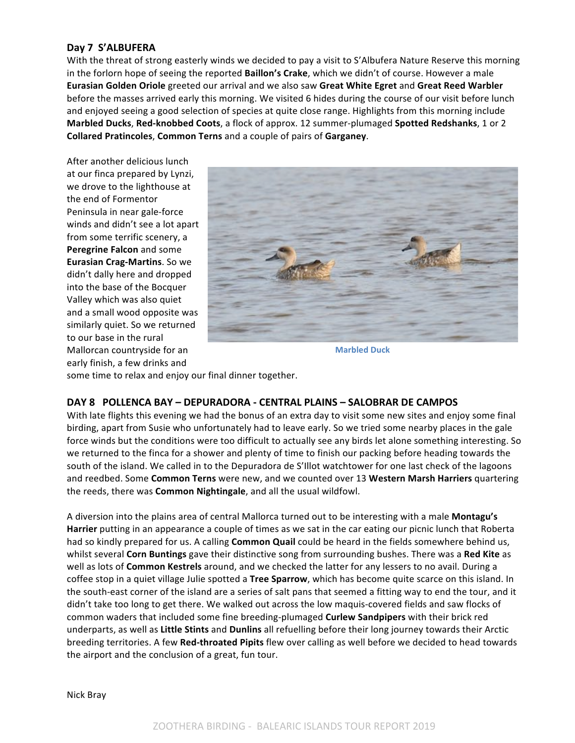# Day 7 S'ALBUFERA

With the threat of strong easterly winds we decided to pay a visit to S'Albufera Nature Reserve this morning in the forlorn hope of seeing the reported Baillon's Crake, which we didn't of course. However a male **Eurasian Golden Oriole** greeted our arrival and we also saw **Great White Egret** and **Great Reed Warbler** before the masses arrived early this morning. We visited 6 hides during the course of our visit before lunch and enjoyed seeing a good selection of species at quite close range. Highlights from this morning include **Marbled Ducks, Red-knobbed Coots,** a flock of approx. 12 summer-plumaged Spotted Redshanks, 1 or 2 **Collared Pratincoles, Common Terns** and a couple of pairs of Garganey.

After another delicious lunch at our finca prepared by Lynzi, we drove to the lighthouse at the end of Formentor Peninsula in near gale-force winds and didn't see a lot apart from some terrific scenery, a **Peregrine Falcon** and some **Eurasian Crag-Martins**. So we didn't dally here and dropped into the base of the Bocquer Valley which was also quiet and a small wood opposite was similarly quiet. So we returned to our base in the rural Mallorcan countryside for an early finish, a few drinks and



**Marbled Duck**

some time to relax and enjoy our final dinner together.

# **DAY 8 POLLENCA BAY – DEPURADORA - CENTRAL PLAINS – SALOBRAR DE CAMPOS**

With late flights this evening we had the bonus of an extra day to visit some new sites and enjoy some final birding, apart from Susie who unfortunately had to leave early. So we tried some nearby places in the gale force winds but the conditions were too difficult to actually see any birds let alone something interesting. So we returned to the finca for a shower and plenty of time to finish our packing before heading towards the south of the island. We called in to the Depuradora de S'Illot watchtower for one last check of the lagoons and reedbed. Some Common Terns were new, and we counted over 13 Western Marsh Harriers quartering the reeds, there was **Common Nightingale**, and all the usual wildfowl.

A diversion into the plains area of central Mallorca turned out to be interesting with a male **Montagu's Harrier** putting in an appearance a couple of times as we sat in the car eating our picnic lunch that Roberta had so kindly prepared for us. A calling **Common Quail** could be heard in the fields somewhere behind us, whilst several **Corn Buntings** gave their distinctive song from surrounding bushes. There was a Red Kite as well as lots of **Common Kestrels** around, and we checked the latter for any lessers to no avail. During a coffee stop in a quiet village Julie spotted a **Tree Sparrow**, which has become quite scarce on this island. In the south-east corner of the island are a series of salt pans that seemed a fitting way to end the tour, and it didn't take too long to get there. We walked out across the low maquis-covered fields and saw flocks of common waders that included some fine breeding-plumaged **Curlew Sandpipers** with their brick red underparts, as well as Little Stints and Dunlins all refuelling before their long journey towards their Arctic breeding territories. A few Red-throated Pipits flew over calling as well before we decided to head towards the airport and the conclusion of a great, fun tour.

Nick Bray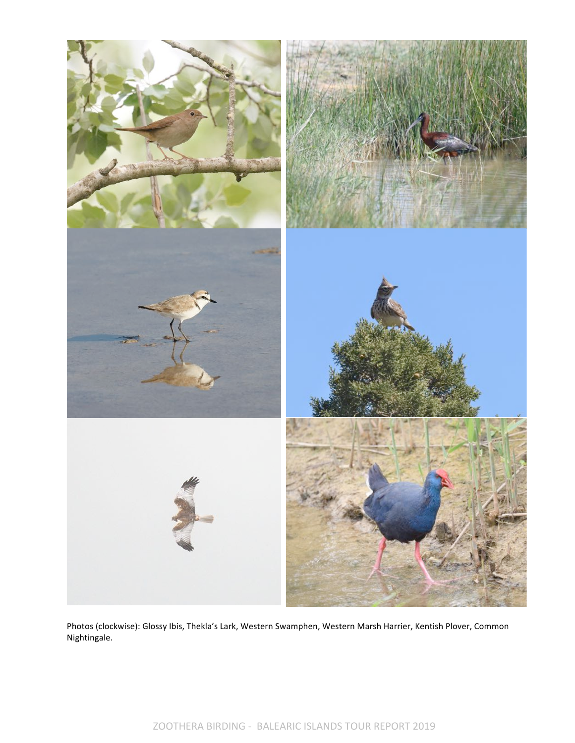

Photos (clockwise): Glossy Ibis, Thekla's Lark, Western Swamphen, Western Marsh Harrier, Kentish Plover, Common Nightingale.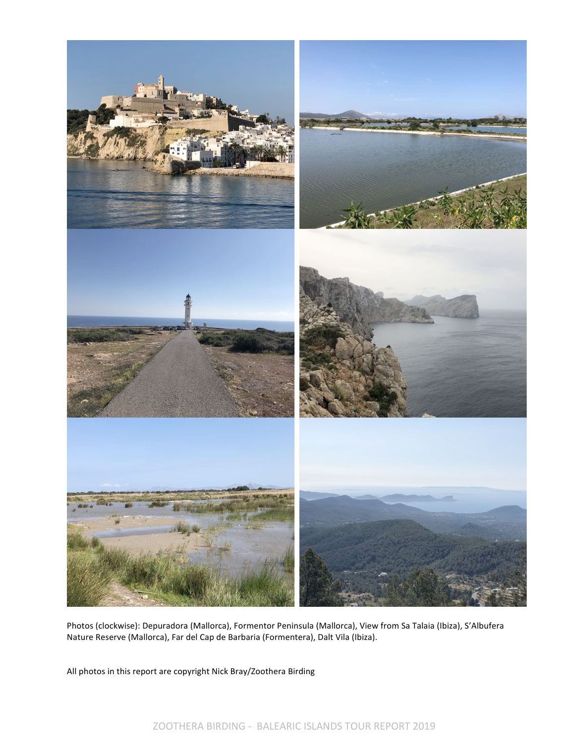

Photos (clockwise): Depuradora (Mallorca), Formentor Peninsula (Mallorca), View from Sa Talaia (Ibiza), S'Albufera Nature Reserve (Mallorca), Far del Cap de Barbaria (Formentera), Dalt Vila (Ibiza).

All photos in this report are copyright Nick Bray/Zoothera Birding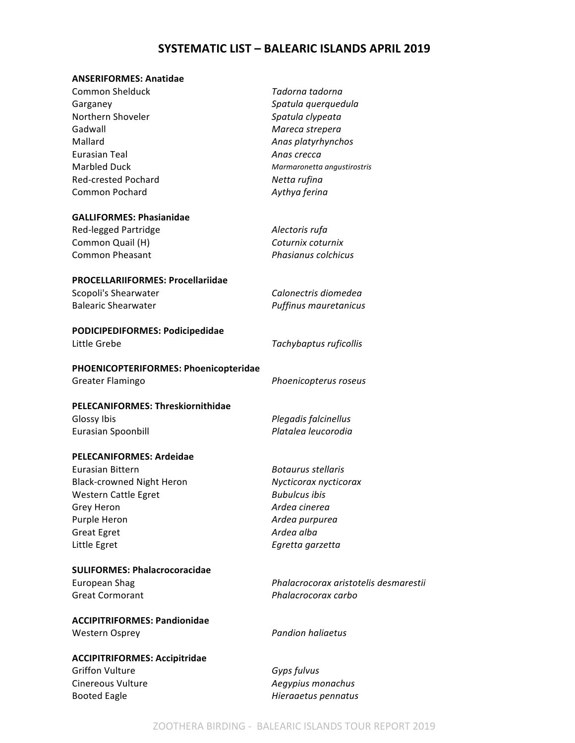# **SYSTEMATIC LIST - BALEARIC ISLANDS APRIL 2019**

# **ANSERIFORMES: Anatidae**

| <b>Common Shelduck</b>                                         | Tadorna tadorna                       |
|----------------------------------------------------------------|---------------------------------------|
| Garganey                                                       | Spatula querquedula                   |
| Northern Shoveler                                              | Spatula clypeata                      |
| Gadwall                                                        | Mareca strepera                       |
| Mallard                                                        | Anas platyrhynchos                    |
| <b>Eurasian Teal</b>                                           | Anas crecca                           |
| <b>Marbled Duck</b>                                            | Marmaronetta angustirostris           |
| Red-crested Pochard                                            | Netta rufina                          |
| Common Pochard                                                 | Aythya ferina                         |
|                                                                |                                       |
| <b>GALLIFORMES: Phasianidae</b>                                |                                       |
| Red-legged Partridge                                           | Alectoris rufa                        |
| Common Quail (H)                                               | Coturnix coturnix                     |
| <b>Common Pheasant</b>                                         | Phasianus colchicus                   |
|                                                                |                                       |
| <b>PROCELLARIIFORMES: Procellariidae</b>                       |                                       |
| Scopoli's Shearwater                                           | Calonectris diomedea                  |
| <b>Balearic Shearwater</b>                                     | Puffinus mauretanicus                 |
|                                                                |                                       |
| PODICIPEDIFORMES: Podicipedidae                                |                                       |
| Little Grebe                                                   | Tachybaptus ruficollis                |
|                                                                |                                       |
| PHOENICOPTERIFORMES: Phoenicopteridae                          |                                       |
| Greater Flamingo                                               | Phoenicopterus roseus                 |
| <b>PELECANIFORMES: Threskiornithidae</b>                       |                                       |
| Glossy Ibis                                                    | Plegadis falcinellus                  |
| Eurasian Spoonbill                                             | Platalea leucorodia                   |
|                                                                |                                       |
| <b>PELECANIFORMES: Ardeidae</b>                                |                                       |
| <b>Eurasian Bittern</b>                                        | <b>Botaurus stellaris</b>             |
| <b>Black-crowned Night Heron</b>                               | Nycticorax nycticorax                 |
| Western Cattle Egret                                           | <b>Bubulcus ibis</b>                  |
| Grey Heron                                                     | Ardea cinerea                         |
| Purple Heron                                                   | Ardea purpurea                        |
| <b>Great Egret</b>                                             | Ardea alba                            |
| Little Egret                                                   | Egretta garzetta                      |
|                                                                |                                       |
| <b>SULIFORMES: Phalacrocoracidae</b>                           |                                       |
| European Shag                                                  | Phalacrocorax aristotelis desmarestii |
| <b>Great Cormorant</b>                                         | Phalacrocorax carbo                   |
|                                                                |                                       |
| <b>ACCIPITRIFORMES: Pandionidae</b>                            |                                       |
| <b>Western Osprey</b>                                          | <b>Pandion haliaetus</b>              |
|                                                                |                                       |
| <b>ACCIPITRIFORMES: Accipitridae</b><br><b>Griffon Vulture</b> |                                       |
|                                                                | Gyps fulvus                           |
| Cinereous Vulture                                              | Aegypius monachus                     |

Booted Eagle **Hieraaetus** *Hieraaetus pennatus*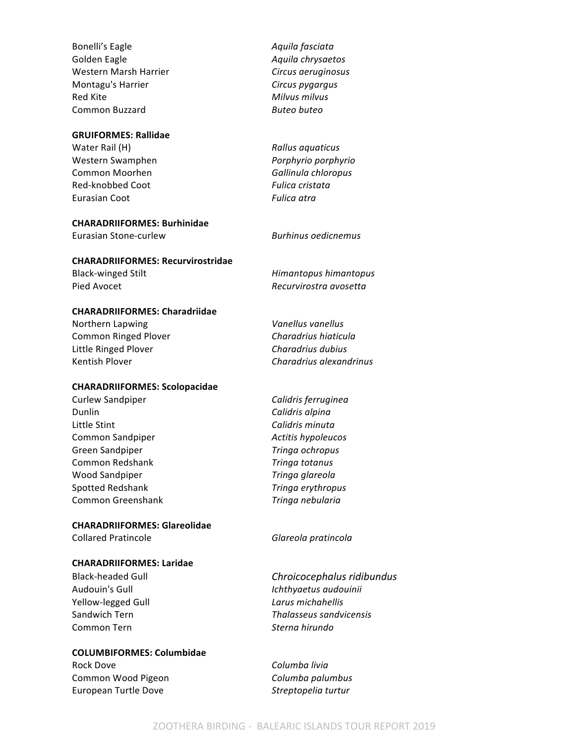Bonelli's Eagle **Access 12 and** *Aquila fasciata Aquila fasciata* Golden Eagle **Aguila** *Aquila chrysaetos* Western Marsh Harrier *Circus aeruginosus* Montagu's Harrier *Circus pygargus* Red Kite **Milionson Milions Milions Milions Milions Milions Milions Milions Milions Milions Milions Milions Milions Milions Milions Milions Milions Milions Milions Milions Milions** Common Buzzard **Butes Buteo** *Buteo buteo* 

#### **GRUIFORMES: Rallidae**

Water Rail (H) *Rallus aquaticus Rallus aquaticus* Western Swamphen *Porphyrio porphyrio* Common Moorhen **Gallinula** chloropus Red-knobbed Coot **Fulica** cristata Eurasian Coot **Fulica** atra

#### **CHARADRIIFORMES: Burhinidae**

Eurasian Stone-curlew *Burhinus oedicnemus*

#### **CHARADRIIFORMES: Recurvirostridae**

#### **CHARADRIIFORMES: Charadriidae**

Northern Lapwing *Vanellus vanellus* Common Ringed Plover **Charadrius** hiaticula Little Ringed Plover *Charadrius dubius* Kentish Plover *Charadrius alexandrinus* 

#### **CHARADRIIFORMES: Scolopacidae**

Curlew Sandpiper **Culture Calidris** ferruginea Dunlin *Calidris alpina* Little Stint **Calidris** minuta Common Sandpiper *Active Active Active Action Active Active Active Active Active Active Active Active Active Active Active Active Active Active Active Active Active Active Active Active Active Active Active Active Acti* Green Sandpiper *Tringa ochropus* Common Redshank *Tringa totanus* Wood Sandpiper *Tringa glareola* Spotted Redshank *Tringa erythropus* Common Greenshank **Tringa** nebularia

# **CHARADRIIFORMES: Glareolidae**

#### **CHARADRIIFORMES: Laridae**

Yellow-legged Gull *Larus michahellis* Common Tern *Sterna hirundo*

#### **COLUMBIFORMES: Columbidae**

Rock Dove **Columba** livia Common Wood Pigeon **Columba** *Columba palumbus* European Turtle Dove *Streptopelia turtur* 

Black-winged Stilt **Himantopus** *Himantopus himantopus* Pied Avocet *Recurvirostra avosetta* 

Collared Pratincole **Glareola** *Glareola pratincola* 

Black-headed Gull **Chroicocephalus ridibundus** Audouin's Gull *Ichthyaetus audouinii* Sandwich Tern *Thalasseus sandvicensis*

#### ZOOTHERA BIRDING - BALEARIC ISLANDS TOUR REPORT 2019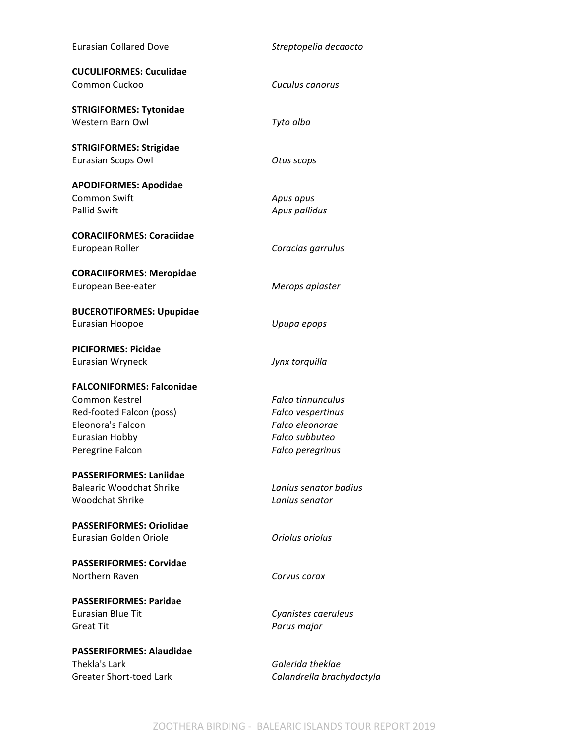| <b>Eurasian Collared Dove</b>    | Streptopelia decaocto     |
|----------------------------------|---------------------------|
| <b>CUCULIFORMES: Cuculidae</b>   |                           |
| Common Cuckoo                    | Cuculus canorus           |
| <b>STRIGIFORMES: Tytonidae</b>   |                           |
| Western Barn Owl                 | Tyto alba                 |
| <b>STRIGIFORMES: Strigidae</b>   |                           |
| Eurasian Scops Owl               | Otus scops                |
| <b>APODIFORMES: Apodidae</b>     |                           |
| <b>Common Swift</b>              | Apus apus                 |
| <b>Pallid Swift</b>              | Apus pallidus             |
| <b>CORACIIFORMES: Coraciidae</b> |                           |
| European Roller                  | Coracias garrulus         |
| <b>CORACIIFORMES: Meropidae</b>  |                           |
| European Bee-eater               | Merops apiaster           |
| <b>BUCEROTIFORMES: Upupidae</b>  |                           |
| Eurasian Hoopoe                  | Upupa epops               |
| <b>PICIFORMES: Picidae</b>       |                           |
| Eurasian Wryneck                 | Jynx torquilla            |
| <b>FALCONIFORMES: Falconidae</b> |                           |
| Common Kestrel                   | <b>Falco tinnunculus</b>  |
| Red-footed Falcon (poss)         | Falco vespertinus         |
| Eleonora's Falcon                | Falco eleonorae           |
| Eurasian Hobby                   | Falco subbuteo            |
| Peregrine Falcon                 | Falco peregrinus          |
| <b>PASSERIFORMES: Laniidae</b>   |                           |
| Balearic Woodchat Shrike         | Lanius senator badius     |
| <b>Woodchat Shrike</b>           | Lanius senator            |
| <b>PASSERIFORMES: Oriolidae</b>  |                           |
| Eurasian Golden Oriole           | Oriolus oriolus           |
| <b>PASSERIFORMES: Corvidae</b>   |                           |
| Northern Raven                   | Corvus corax              |
| <b>PASSERIFORMES: Paridae</b>    |                           |
| Eurasian Blue Tit                | Cyanistes caeruleus       |
| <b>Great Tit</b>                 | Parus major               |
| <b>PASSERIFORMES: Alaudidae</b>  |                           |
| Thekla's Lark                    | Galerida theklae          |
| <b>Greater Short-toed Lark</b>   | Calandrella brachydactyla |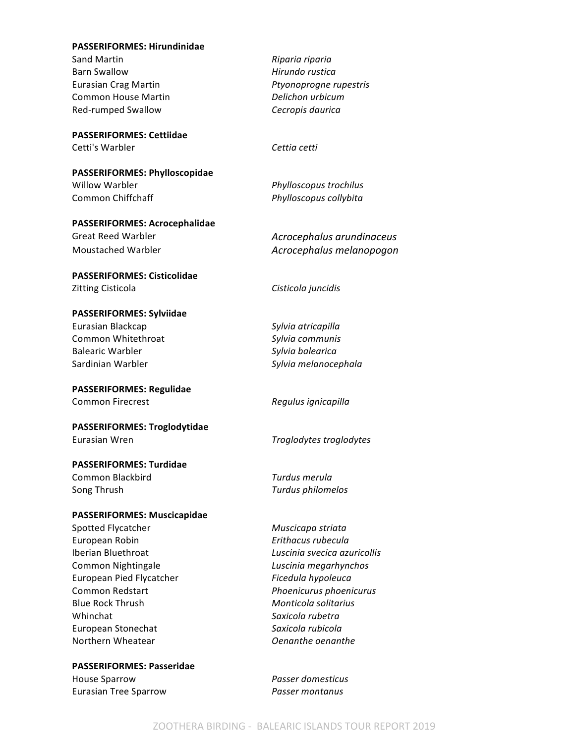#### **PASSERIFORMES: Hirundinidae**

Sand Martin *Riparia riparia* Barn Swallow **Hirundo** rustica Eurasian Crag Martin *Ptyonoprogne rupestris* Common House Martin **Delichon** urbicum Red-rumped Swallow **Cecropis daurica** 

#### **PASSERIFORMES: Cettiidae** Cetti's Warbler **Cettia** cetti

**PASSERIFORMES: Phylloscopidae** Willow Warbler *Phylloscopus trochilus* 

**PASSERIFORMES: Acrocephalidae** Great Reed Warbler *Acrocephalus arundinaceus* 

#### **PASSERIFORMES: Cisticolidae** Zitting Cisticola **Cisticola** *Cisticola juncidis*

**PASSERIFORMES: Sylviidae** Eurasian Blackcap *Sylvia atricapilla* Common Whitethroat *Sylvia communis* Balearic Warbler *Sylvia balearica* Sardinian Warbler **Sylvia** melanocephala

**PASSERIFORMES: Regulidae** Common Firecrest *Regulus ignicapilla* 

**PASSERIFORMES: Troglodytidae** Eurasian Wren **Figure 2018** Troglodytes troglodytes

# **PASSERIFORMES: Turdidae**

**Common Blackbird Common Blackbird** *Turdus merula* Song Thrush *Turdus philomelos* 

#### **PASSERIFORMES: Muscicapidae**

Spotted Flycatcher **Muscicapa** striata European Robin *Erithacus rubecula* Iberian Bluethroat *Luscinia svecica azuricollis* Common Nightingale *Luscinia megarhynchos* European Pied Flycatcher *Ficedula hypoleuca* Common Redstart *Phoenicurus* phoenicurus Blue Rock Thrush **Monticola** solitarius **Whinchat** *Saxicola rubetra* European Stonechat *Saxicola rubicola* Northern Wheatear *Oenanthe oenanthe* 

**PASSERIFORMES: Passeridae** House Sparrow *Passer domesticus*

Eurasian Tree Sparrow *Passer montanus*

Common Chiffchaff *Phylloscopus collybita* 

Moustached Warbler *Acrocephalus melanopogon*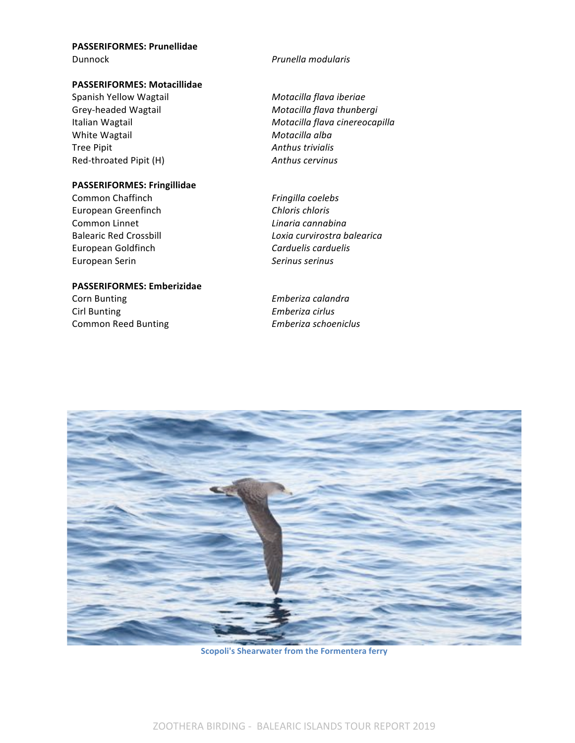#### **PASSERIFORMES: Prunellidae Dunnock** *Prunella modularis*

#### **PASSERIFORMES: Motacillidae**

Spanish Yellow Wagtail *Motacilla flava iberiae* White Wagtail **Motacilla** alba Tree Pipit **Anthus** trivialis Red-throated Pipit (H) **Anthus** cervinus

# **PASSERIFORMES: Fringillidae**

Common Chaffinch **Fingilla** coelebs European Greenfinch **Chloris** *Chloris chloris* **Common Linnet** *Linaria cannabina* European Goldfinch **Carduelis** *Carduelis carduelis* European Serin **Manufatan** *Serinus serinus* 

# **PASSERIFORMES:** Emberizidae

**Corn Bunting** *Emberiza calandra* Cirl Bunting *Emberiza cirlus* Common Reed Bunting *Emberiza schoeniclus*

Grey-headed Wagtail **Motacilla** flava thunbergi Italian Wagtail **Motacilla** *Motacilla flava cinereocapilla Motacilla Motacilla flava cinereocapilla* 

Balearic Red Crossbill *Loxia curvirostra balearica*



**Scopoli's Shearwater from the Formentera ferry**